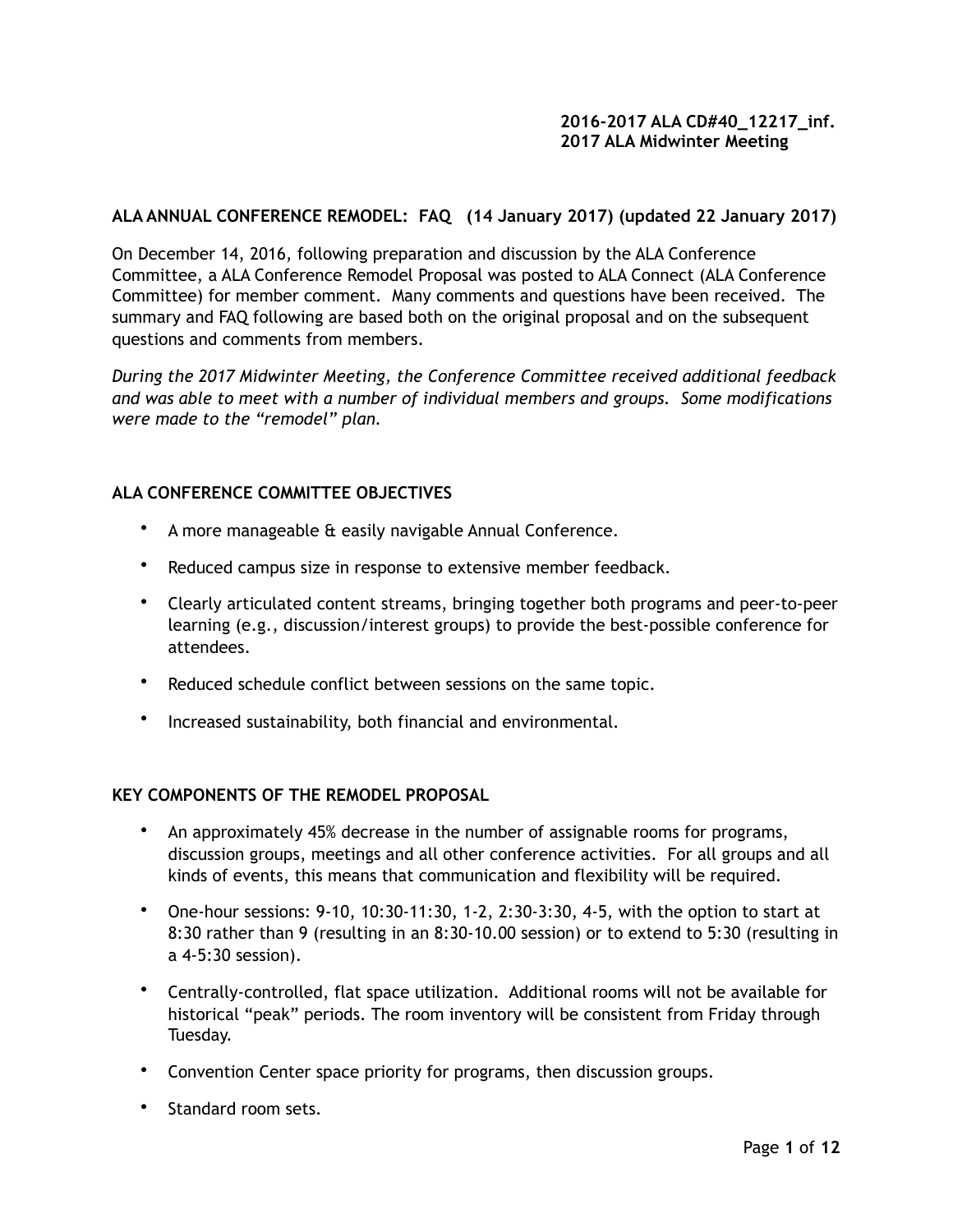# **ALA ANNUAL CONFERENCE REMODEL: FAQ (14 January 2017) (updated 22 January 2017)**

On December 14, 2016, following preparation and discussion by the ALA Conference Committee, a ALA Conference Remodel Proposal was posted to ALA Connect (ALA Conference Committee) for member comment. Many comments and questions have been received. The summary and FAQ following are based both on the original proposal and on the subsequent questions and comments from members.

*During the 2017 Midwinter Meeting, the Conference Committee received additional feedback and was able to meet with a number of individual members and groups. Some modifications were made to the "remodel" plan.* 

### **ALA CONFERENCE COMMITTEE OBJECTIVES**

- A more manageable & easily navigable Annual Conference.
- Reduced campus size in response to extensive member feedback.
- Clearly articulated content streams, bringing together both programs and peer-to-peer learning (e.g., discussion/interest groups) to provide the best-possible conference for attendees.
- Reduced schedule conflict between sessions on the same topic.
- Increased sustainability, both financial and environmental.

### **KEY COMPONENTS OF THE REMODEL PROPOSAL**

- An approximately 45% decrease in the number of assignable rooms for programs, discussion groups, meetings and all other conference activities. For all groups and all kinds of events, this means that communication and flexibility will be required.
- One-hour sessions: 9-10, 10:30-11:30, 1-2, 2:30-3:30, 4-5, with the option to start at 8:30 rather than 9 (resulting in an 8:30-10.00 session) or to extend to 5:30 (resulting in a 4-5:30 session).
- Centrally-controlled, flat space utilization. Additional rooms will not be available for historical "peak" periods. The room inventory will be consistent from Friday through Tuesday.
- Convention Center space priority for programs, then discussion groups.
- Standard room sets.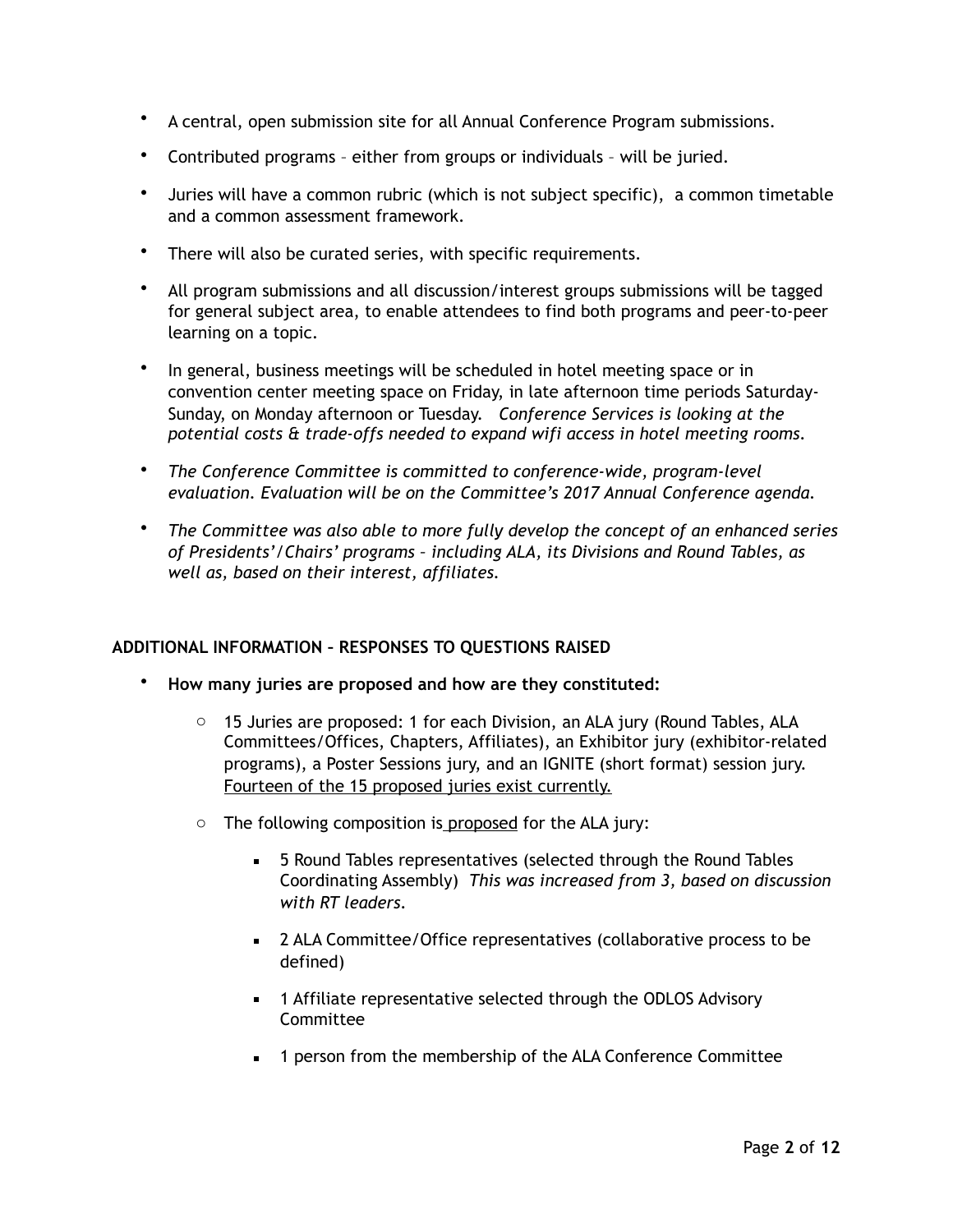- A central, open submission site for all Annual Conference Program submissions.
- Contributed programs either from groups or individuals will be juried.
- Juries will have a common rubric (which is not subject specific), a common timetable and a common assessment framework.
- There will also be curated series, with specific requirements.
- All program submissions and all discussion/interest groups submissions will be tagged for general subject area, to enable attendees to find both programs and peer-to-peer learning on a topic.
- In general, business meetings will be scheduled in hotel meeting space or in convention center meeting space on Friday, in late afternoon time periods Saturday-Sunday, on Monday afternoon or Tuesday.*Conference Services is looking at the potential costs & trade-offs needed to expand wifi access in hotel meeting rooms.*
- *The Conference Committee is committed to conference-wide, program-level evaluation. Evaluation will be on the Committee's 2017 Annual Conference agenda.*
- *The Committee was also able to more fully develop the concept of an enhanced series of Presidents'/Chairs' programs – including ALA, its Divisions and Round Tables, as well as, based on their interest, affiliates.*

# **ADDITIONAL INFORMATION – RESPONSES TO QUESTIONS RAISED**

- **How many juries are proposed and how are they constituted:** 
	- $\circ$  15 Juries are proposed: 1 for each Division, an ALA jury (Round Tables, ALA Committees/Offices, Chapters, Affiliates), an Exhibitor jury (exhibitor-related programs), a Poster Sessions jury, and an IGNITE (short format) session jury. Fourteen of the 15 proposed juries exist currently.
	- $\circ$  The following composition is proposed for the ALA jury:
		- 5 Round Tables representatives (selected through the Round Tables Coordinating Assembly) *This was increased from 3, based on discussion with RT leaders.*
		- 2 ALA Committee/Office representatives (collaborative process to be defined)
		- **■** 1 Affiliate representative selected through the ODLOS Advisory Committee
		- **■** 1 person from the membership of the ALA Conference Committee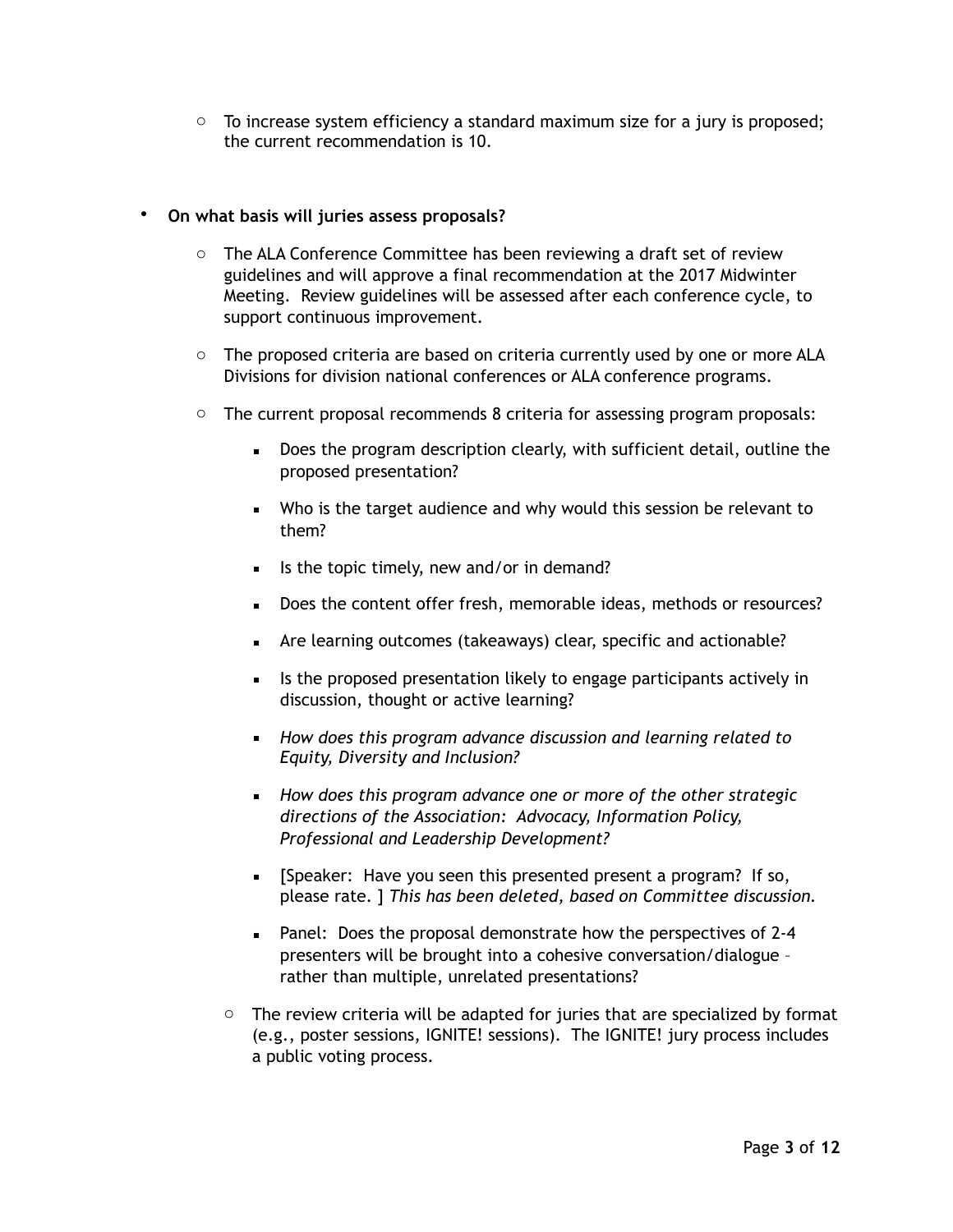$\circ$  To increase system efficiency a standard maximum size for a jury is proposed; the current recommendation is 10.

# • **On what basis will juries assess proposals?**

- o The ALA Conference Committee has been reviewing a draft set of review guidelines and will approve a final recommendation at the 2017 Midwinter Meeting. Review guidelines will be assessed after each conference cycle, to support continuous improvement.
- $\circ$  The proposed criteria are based on criteria currently used by one or more ALA Divisions for division national conferences or ALA conference programs.
- $\circ$  The current proposal recommends 8 criteria for assessing program proposals:
	- **•** Does the program description clearly, with sufficient detail, outline the proposed presentation?
	- Who is the target audience and why would this session be relevant to them?
	- Is the topic timely, new and/or in demand?
	- **•** Does the content offer fresh, memorable ideas, methods or resources?
	- Are learning outcomes (takeaways) clear, specific and actionable?
	- **EXEDENT** Is the proposed presentation likely to engage participants actively in discussion, thought or active learning?
	- *How does this program advance discussion and learning related to Equity, Diversity and Inclusion?*
	- *How does this program advance one or more of the other strategic directions of the Association: Advocacy, Information Policy, Professional and Leadership Development?*
	- **EXPEALER:** Have you seen this presented present a program? If so, please rate. ] *This has been deleted, based on Committee discussion.*
	- Panel: Does the proposal demonstrate how the perspectives of 2-4 presenters will be brought into a cohesive conversation/dialogue – rather than multiple, unrelated presentations?
	- $\circ$  The review criteria will be adapted for juries that are specialized by format (e.g., poster sessions, IGNITE! sessions). The IGNITE! jury process includes a public voting process.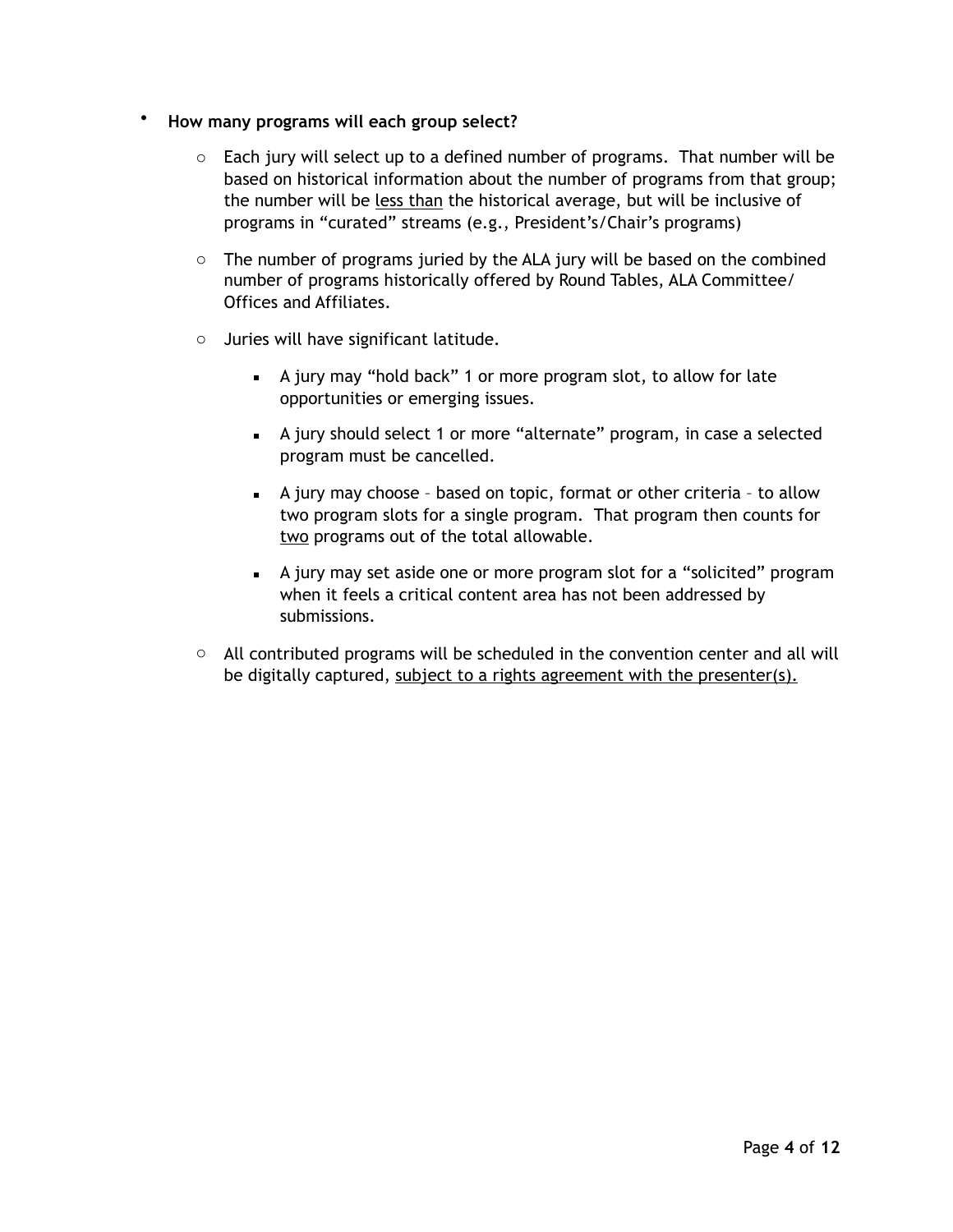- **How many programs will each group select?** 
	- $\circ$  Each jury will select up to a defined number of programs. That number will be based on historical information about the number of programs from that group; the number will be less than the historical average, but will be inclusive of programs in "curated" streams (e.g., President's/Chair's programs)
	- $\circ$  The number of programs juried by the ALA jury will be based on the combined number of programs historically offered by Round Tables, ALA Committee/ Offices and Affiliates.
	- o Juries will have significant latitude.
		- A jury may "hold back" 1 or more program slot, to allow for late opportunities or emerging issues.
		- A jury should select 1 or more "alternate" program, in case a selected program must be cancelled.
		- **EXECT** A jury may choose based on topic, format or other criteria to allow two program slots for a single program. That program then counts for two programs out of the total allowable.
		- **EXED** A jury may set aside one or more program slot for a "solicited" program when it feels a critical content area has not been addressed by submissions.
	- $\circ$  All contributed programs will be scheduled in the convention center and all will be digitally captured, subject to a rights agreement with the presenter(s).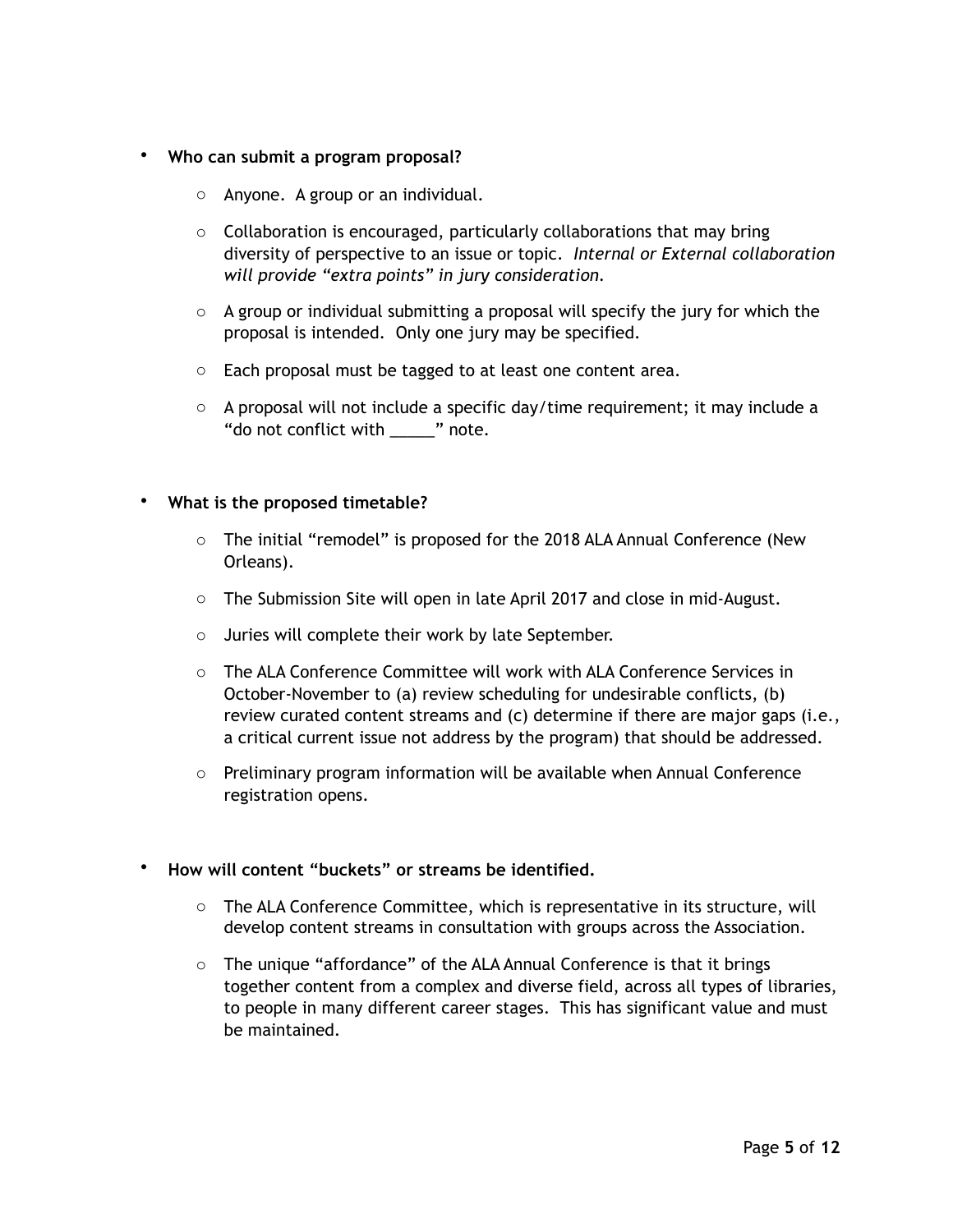### • **Who can submit a program proposal?**

- o Anyone. A group or an individual.
- $\circ$  Collaboration is encouraged, particularly collaborations that may bring diversity of perspective to an issue or topic. *Internal or External collaboration will provide "extra points" in jury consideration.*
- $\circ$  A group or individual submitting a proposal will specify the jury for which the proposal is intended. Only one jury may be specified.
- o Each proposal must be tagged to at least one content area.
- $\circ$  A proposal will not include a specific day/time requirement; it may include a "do not conflict with \_\_\_\_\_" note.

### • **What is the proposed timetable?**

- o The initial "remodel" is proposed for the 2018 ALA Annual Conference (New Orleans).
- $\circ$  The Submission Site will open in late April 2017 and close in mid-August.
- o Juries will complete their work by late September.
- o The ALA Conference Committee will work with ALA Conference Services in October-November to (a) review scheduling for undesirable conflicts, (b) review curated content streams and (c) determine if there are major gaps (i.e., a critical current issue not address by the program) that should be addressed.
- $\circ$  Preliminary program information will be available when Annual Conference registration opens.

# • **How will content "buckets" or streams be identified.**

- o The ALA Conference Committee, which is representative in its structure, will develop content streams in consultation with groups across the Association.
- o The unique "affordance" of the ALA Annual Conference is that it brings together content from a complex and diverse field, across all types of libraries, to people in many different career stages. This has significant value and must be maintained.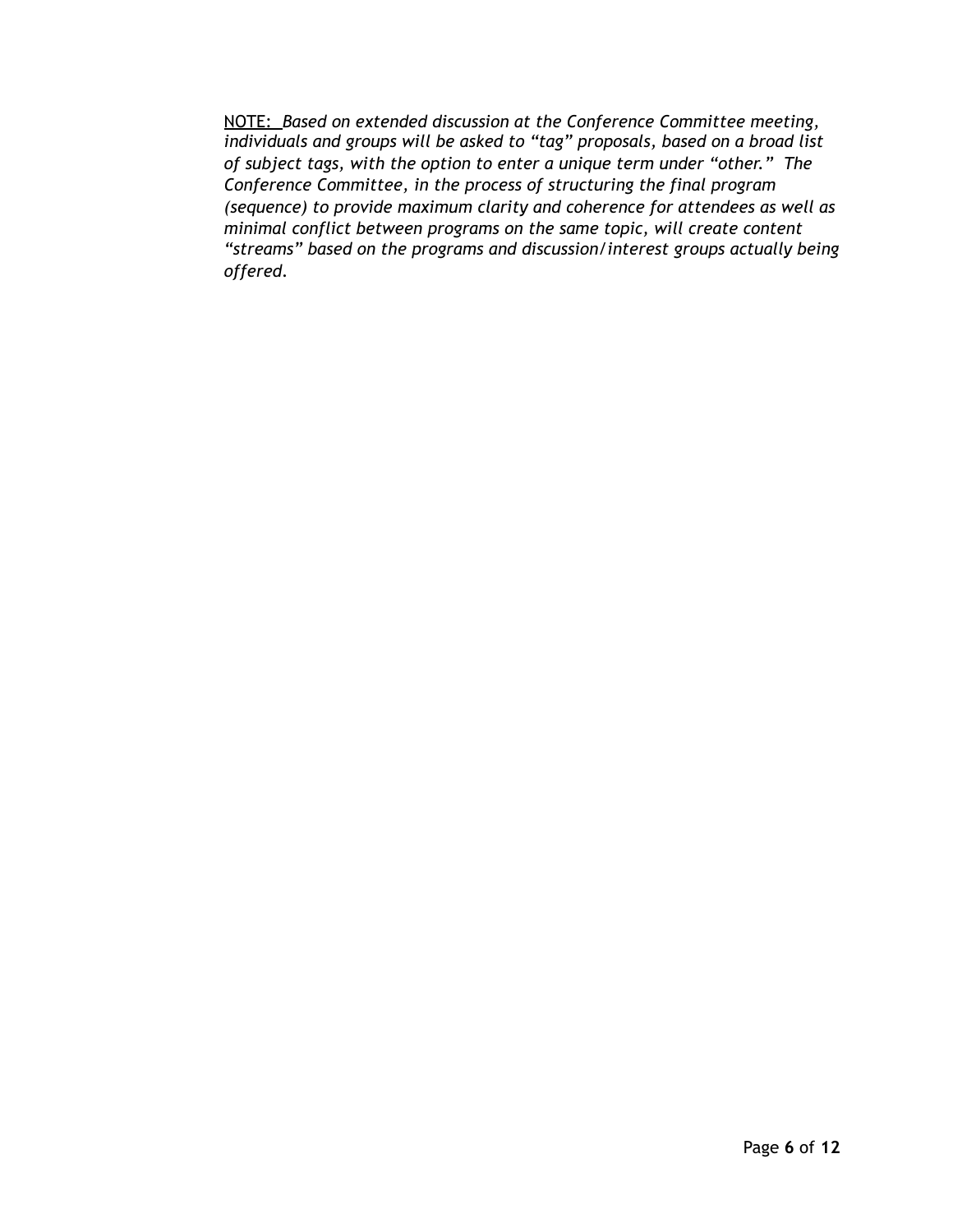NOTE: *Based on extended discussion at the Conference Committee meeting, individuals and groups will be asked to "tag" proposals, based on a broad list of subject tags, with the option to enter a unique term under "other." The Conference Committee, in the process of structuring the final program (sequence) to provide maximum clarity and coherence for attendees as well as minimal conflict between programs on the same topic, will create content "streams" based on the programs and discussion/interest groups actually being offered.*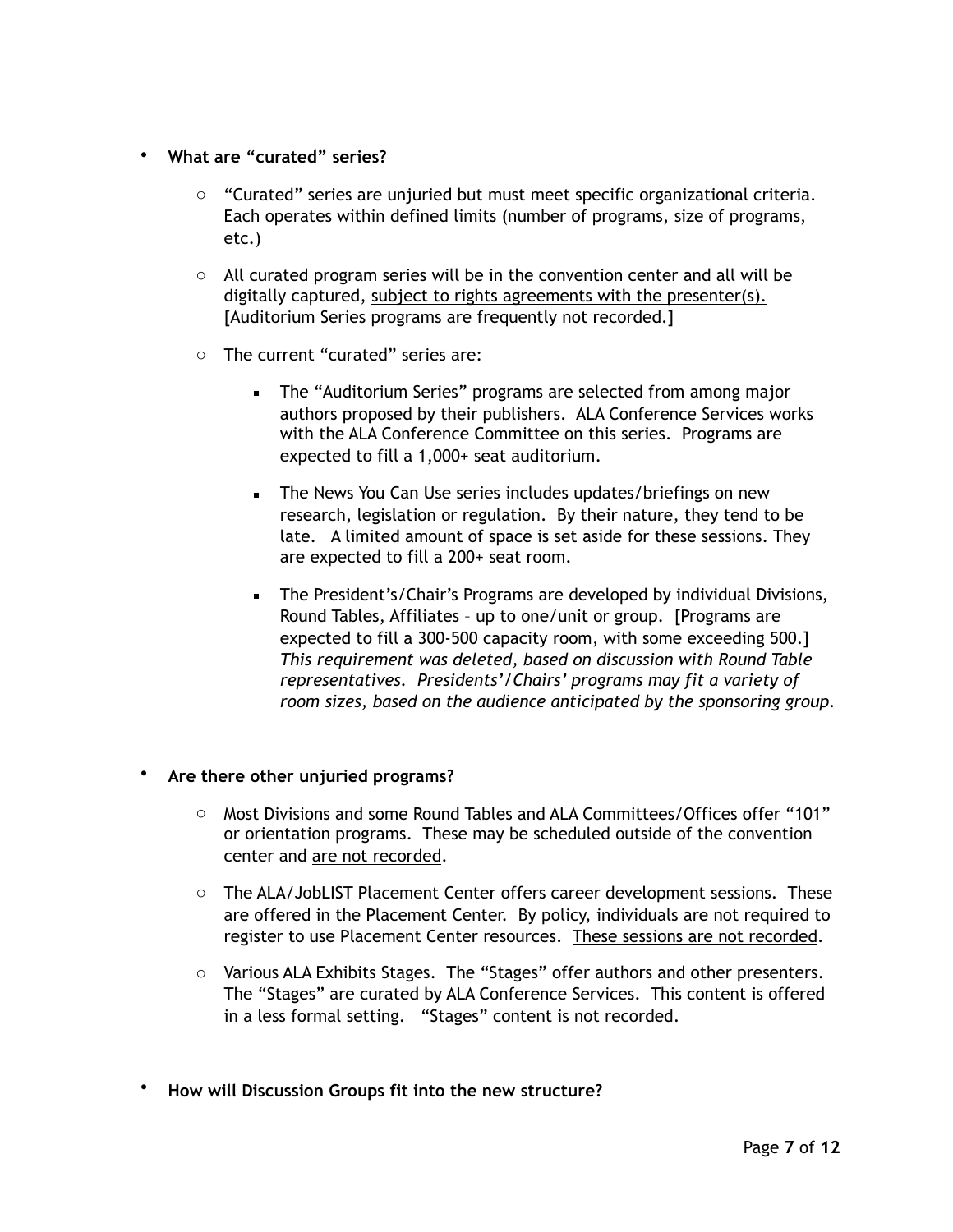- **What are "curated" series?** 
	- $\circ$  "Curated" series are unjuried but must meet specific organizational criteria. Each operates within defined limits (number of programs, size of programs, etc.)
	- $\circ$  All curated program series will be in the convention center and all will be digitally captured, subject to rights agreements with the presenter(s). [Auditorium Series programs are frequently not recorded.]
	- o The current "curated" series are:
		- **The "Auditorium Series" programs are selected from among major** authors proposed by their publishers. ALA Conference Services works with the ALA Conference Committee on this series. Programs are expected to fill a 1,000+ seat auditorium.
		- **EXECT** The News You Can Use series includes updates/briefings on new research, legislation or regulation. By their nature, they tend to be late. A limited amount of space is set aside for these sessions. They are expected to fill a 200+ seat room.
		- **EXEC** The President's/Chair's Programs are developed by individual Divisions, Round Tables, Affiliates – up to one/unit or group. [Programs are expected to fill a 300-500 capacity room, with some exceeding 500.] *This requirement was deleted, based on discussion with Round Table representatives. Presidents'/Chairs' programs may fit a variety of room sizes, based on the audience anticipated by the sponsoring group.*

# • **Are there other unjuried programs?**

- o Most Divisions and some Round Tables and ALA Committees/Offices offer "101" or orientation programs. These may be scheduled outside of the convention center and are not recorded.
- o The ALA/JobLIST Placement Center offers career development sessions. These are offered in the Placement Center. By policy, individuals are not required to register to use Placement Center resources. These sessions are not recorded.
- o Various ALA Exhibits Stages. The "Stages" offer authors and other presenters. The "Stages" are curated by ALA Conference Services. This content is offered in a less formal setting. "Stages" content is not recorded.
- **How will Discussion Groups fit into the new structure?**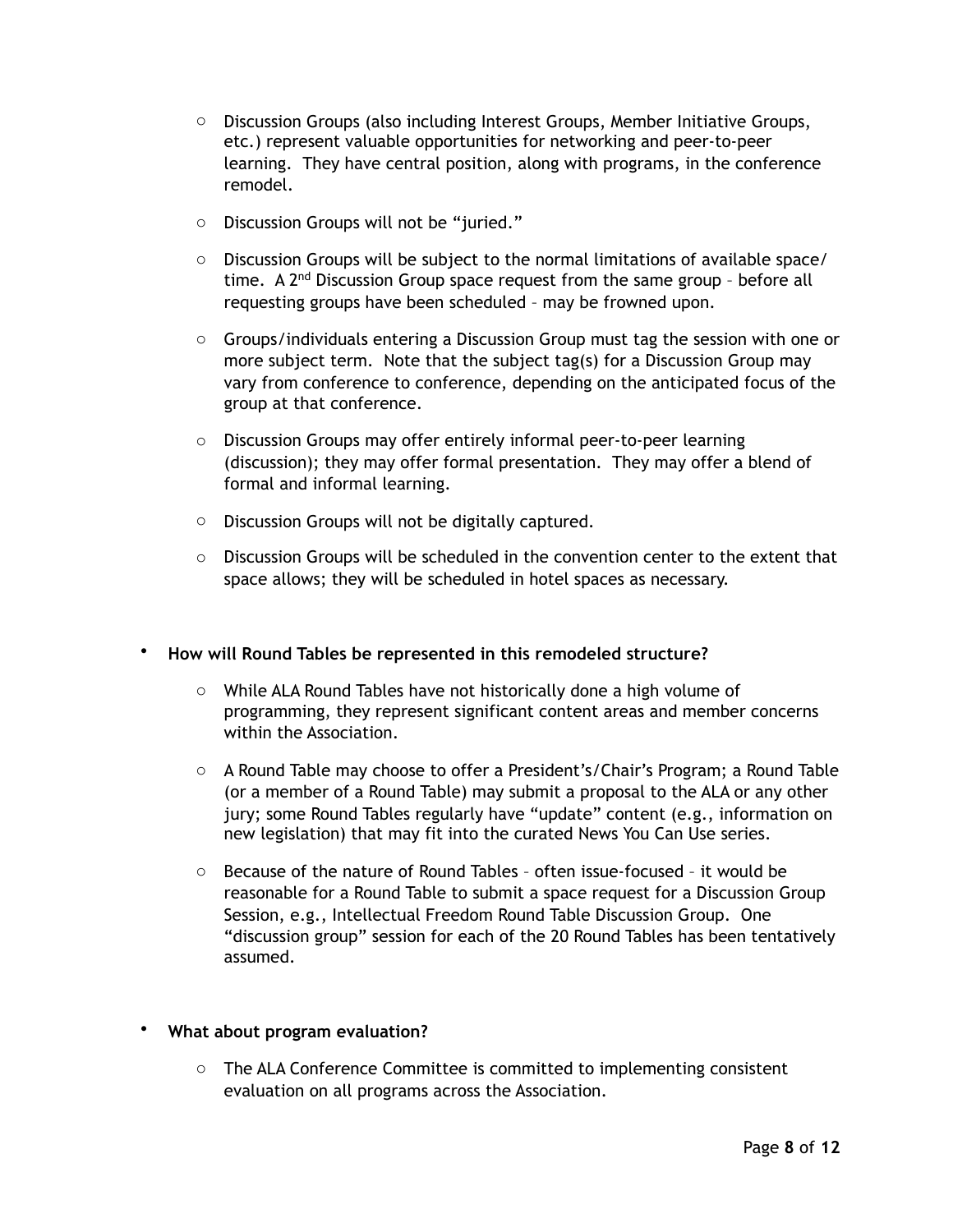- $\circ$  Discussion Groups (also including Interest Groups, Member Initiative Groups, etc.) represent valuable opportunities for networking and peer-to-peer learning. They have central position, along with programs, in the conference remodel.
- o Discussion Groups will not be "juried."
- $\circ$  Discussion Groups will be subject to the normal limitations of available space/ time. A  $2<sup>nd</sup>$  Discussion Group space request from the same group - before all requesting groups have been scheduled – may be frowned upon.
- $\circ$  Groups/individuals entering a Discussion Group must tag the session with one or more subject term. Note that the subject tag(s) for a Discussion Group may vary from conference to conference, depending on the anticipated focus of the group at that conference.
- o Discussion Groups may offer entirely informal peer-to-peer learning (discussion); they may offer formal presentation. They may offer a blend of formal and informal learning.
- o Discussion Groups will not be digitally captured.
- $\circ$  Discussion Groups will be scheduled in the convention center to the extent that space allows; they will be scheduled in hotel spaces as necessary.

# • **How will Round Tables be represented in this remodeled structure?**

- o While ALA Round Tables have not historically done a high volume of programming, they represent significant content areas and member concerns within the Association.
- o A Round Table may choose to offer a President's/Chair's Program; a Round Table (or a member of a Round Table) may submit a proposal to the ALA or any other jury; some Round Tables regularly have "update" content (e.g., information on new legislation) that may fit into the curated News You Can Use series.
- o Because of the nature of Round Tables often issue-focused it would be reasonable for a Round Table to submit a space request for a Discussion Group Session, e.g., Intellectual Freedom Round Table Discussion Group. One "discussion group" session for each of the 20 Round Tables has been tentatively assumed.

# • **What about program evaluation?**

o The ALA Conference Committee is committed to implementing consistent evaluation on all programs across the Association.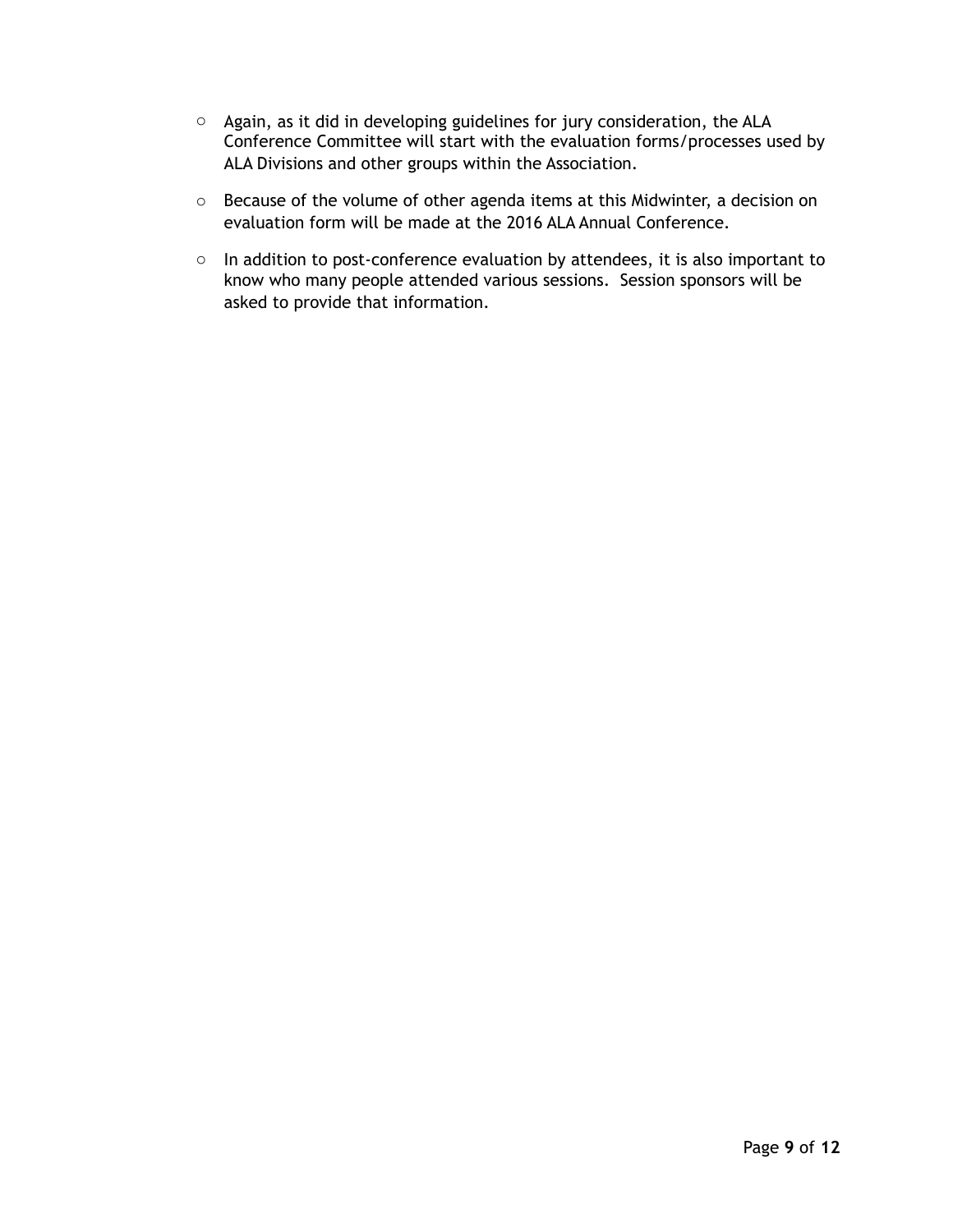- o Again, as it did in developing guidelines for jury consideration, the ALA Conference Committee will start with the evaluation forms/processes used by ALA Divisions and other groups within the Association.
- o Because of the volume of other agenda items at this Midwinter, a decision on evaluation form will be made at the 2016 ALA Annual Conference.
- o In addition to post-conference evaluation by attendees, it is also important to know who many people attended various sessions. Session sponsors will be asked to provide that information.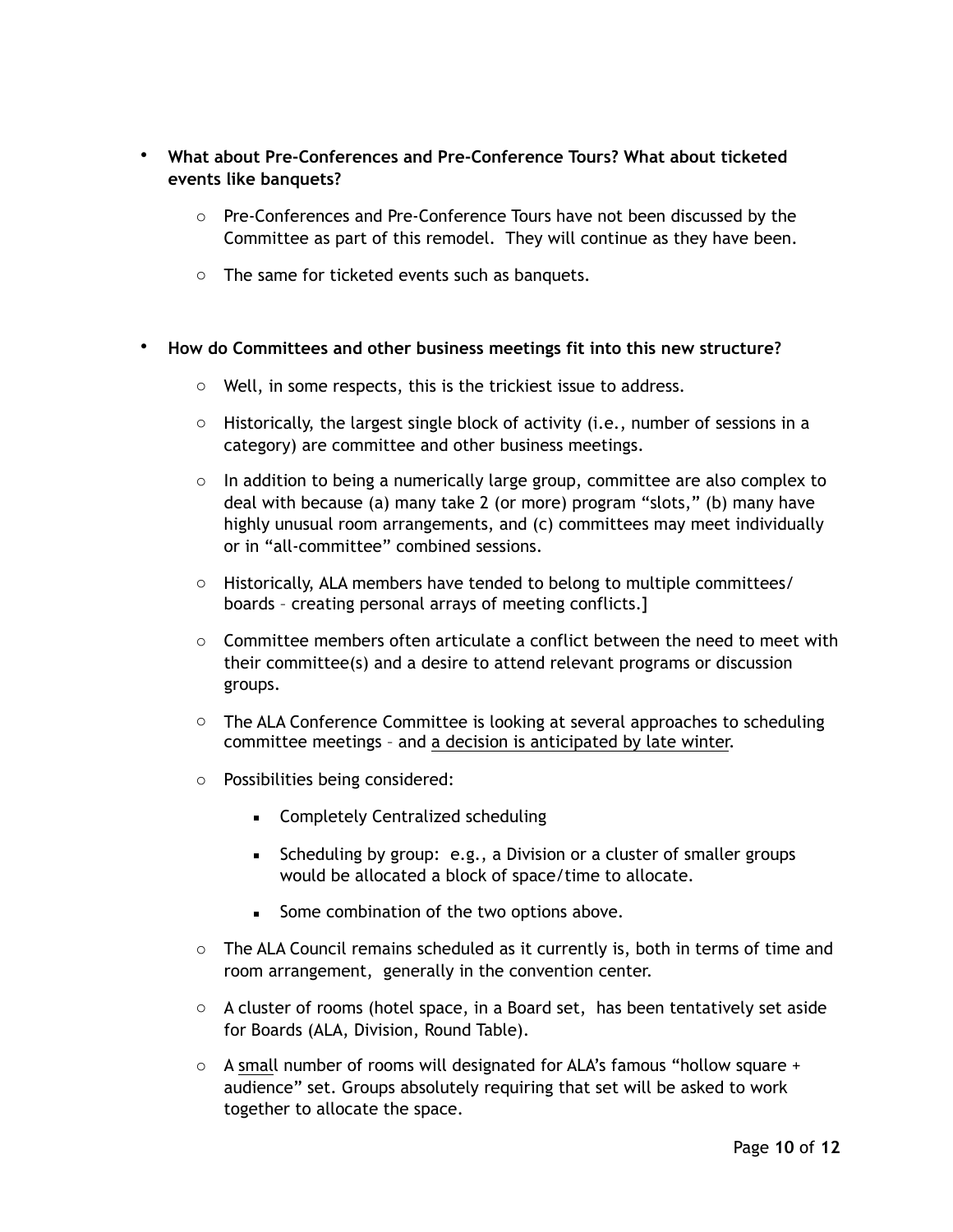- **What about Pre-Conferences and Pre-Conference Tours? What about ticketed events like banquets?**
	- o Pre-Conferences and Pre-Conference Tours have not been discussed by the Committee as part of this remodel. They will continue as they have been.
	- o The same for ticketed events such as banquets.
- **How do Committees and other business meetings fit into this new structure?** 
	- o Well, in some respects, this is the trickiest issue to address.
	- $\circ$  Historically, the largest single block of activity (i.e., number of sessions in a category) are committee and other business meetings.
	- $\circ$  In addition to being a numerically large group, committee are also complex to deal with because (a) many take 2 (or more) program "slots," (b) many have highly unusual room arrangements, and (c) committees may meet individually or in "all-committee" combined sessions.
	- $\circ$  Historically, ALA members have tended to belong to multiple committees/ boards – creating personal arrays of meeting conflicts.]
	- $\circ$  Committee members often articulate a conflict between the need to meet with their committee(s) and a desire to attend relevant programs or discussion groups.
	- $\circ$  The ALA Conference Committee is looking at several approaches to scheduling committee meetings – and a decision is anticipated by late winter.
	- o Possibilities being considered:
		- Completely Centralized scheduling
		- **EXECUTE:** Scheduling by group: e.g., a Division or a cluster of smaller groups would be allocated a block of space/time to allocate.
		- Some combination of the two options above.
	- o The ALA Council remains scheduled as it currently is, both in terms of time and room arrangement, generally in the convention center.
	- $\circ$  A cluster of rooms (hotel space, in a Board set, has been tentatively set aside for Boards (ALA, Division, Round Table).
	- $\circ$  A small number of rooms will designated for ALA's famous "hollow square + audience" set. Groups absolutely requiring that set will be asked to work together to allocate the space.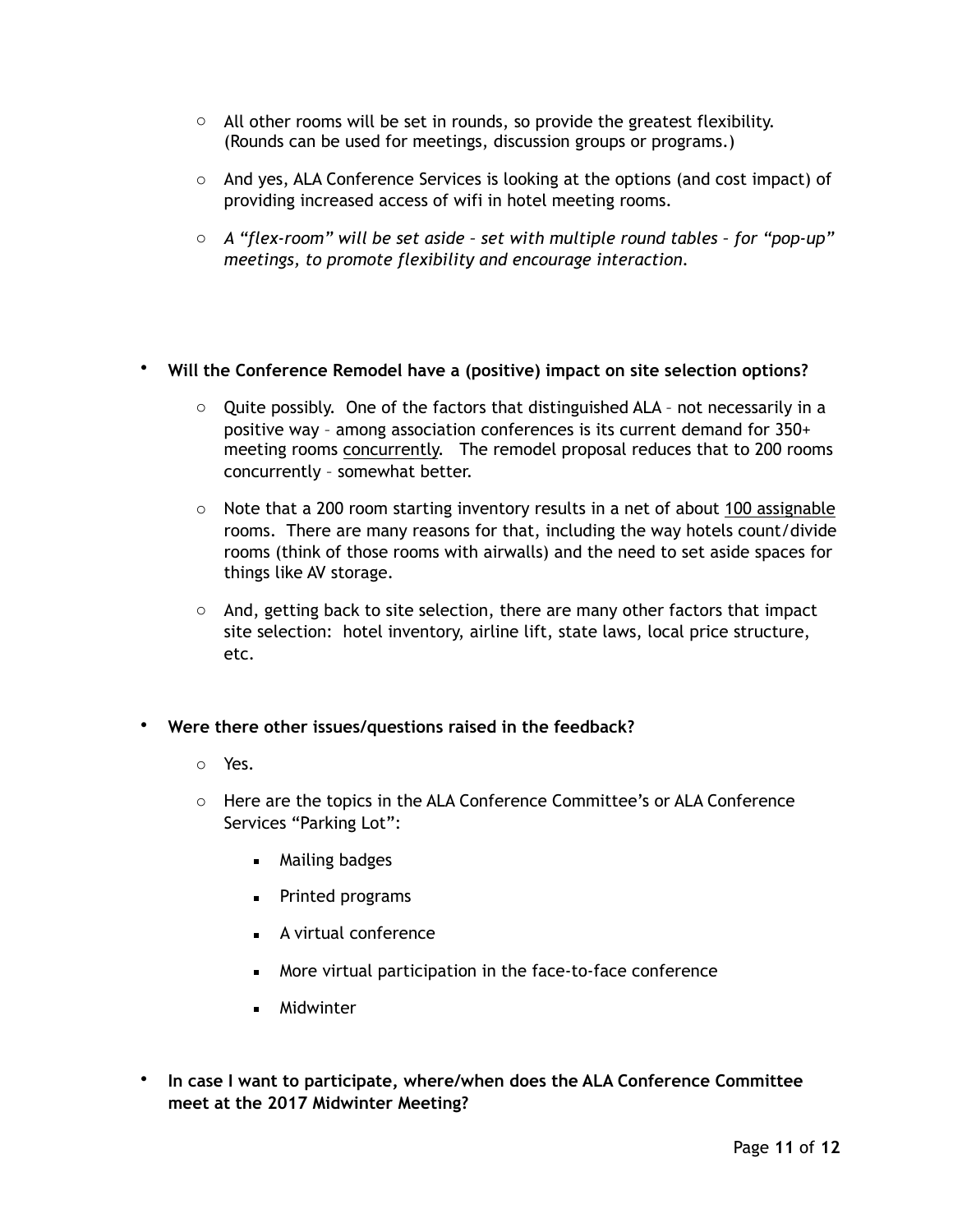- $\circ$  All other rooms will be set in rounds, so provide the greatest flexibility. (Rounds can be used for meetings, discussion groups or programs.)
- $\circ$  And yes, ALA Conference Services is looking at the options (and cost impact) of providing increased access of wifi in hotel meeting rooms.
- o *A "flex-room" will be set aside set with multiple round tables for "pop-up" meetings, to promote flexibility and encourage interaction.*

# • **Will the Conference Remodel have a (positive) impact on site selection options?**

- $\circ$  Quite possibly. One of the factors that distinguished ALA not necessarily in a positive way – among association conferences is its current demand for 350+ meeting rooms concurrently. The remodel proposal reduces that to 200 rooms concurrently – somewhat better.
- $\circ$  Note that a 200 room starting inventory results in a net of about 100 assignable rooms. There are many reasons for that, including the way hotels count/divide rooms (think of those rooms with airwalls) and the need to set aside spaces for things like AV storage.
- $\circ$  And, getting back to site selection, there are many other factors that impact site selection: hotel inventory, airline lift, state laws, local price structure, etc.
- **Were there other issues/questions raised in the feedback?** 
	- o Yes.
	- o Here are the topics in the ALA Conference Committee's or ALA Conference Services "Parking Lot":
		- Mailing badges
		- **•** Printed programs
		- A virtual conference
		- More virtual participation in the face-to-face conference
		- **■** Midwinter
- **In case I want to participate, where/when does the ALA Conference Committee meet at the 2017 Midwinter Meeting?**